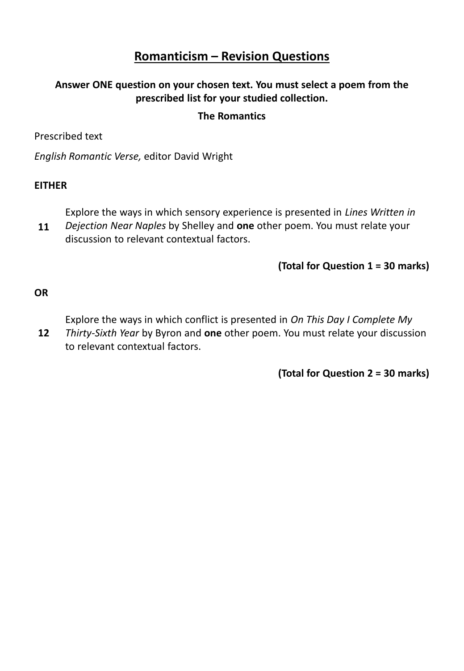## **Romanticism – Revision Questions**

#### **Answer ONE question on your chosen text. You must select a poem from the prescribed list for your studied collection.**

#### **The Romantics**

Prescribed text

*English Romantic Verse,* editor David Wright

#### **EITHER**

Explore the ways in which sensory experience is presented in *Lines Written in* 

*Dejection Near Naples* by Shelley and **one** other poem. You must relate your discussion to relevant contextual factors. **11**

#### **(Total for Question 1 = 30 marks)**

**OR**

Explore the ways in which conflict is presented in *On This Day I Complete My* 

*Thirty-Sixth Year* by Byron and **one** other poem. You must relate your discussion to relevant contextual factors. **12**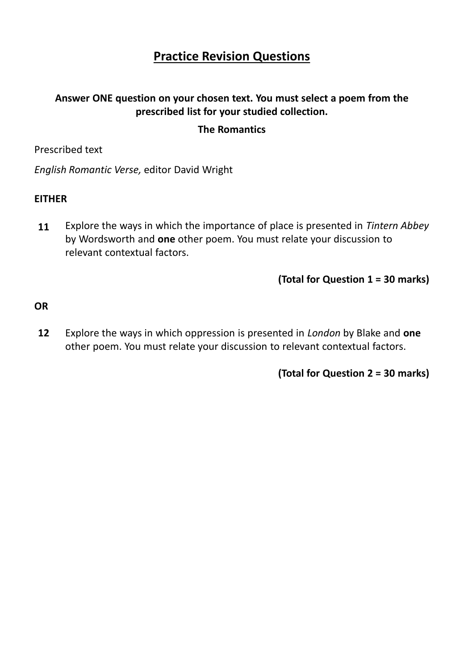# **Practice Revision Questions**

## **Answer ONE question on your chosen text. You must select a poem from the prescribed list for your studied collection.**

#### **The Romantics**

Prescribed text

*English Romantic Verse,* editor David Wright

#### **EITHER**

Explore the ways in which the importance of place is presented in *Tintern Abbey*  by Wordsworth and **one** other poem. You must relate your discussion to relevant contextual factors. **11**

**(Total for Question 1 = 30 marks)**

**OR**

Explore the ways in which oppression is presented in *London* by Blake and **one** other poem. You must relate your discussion to relevant contextual factors. **12**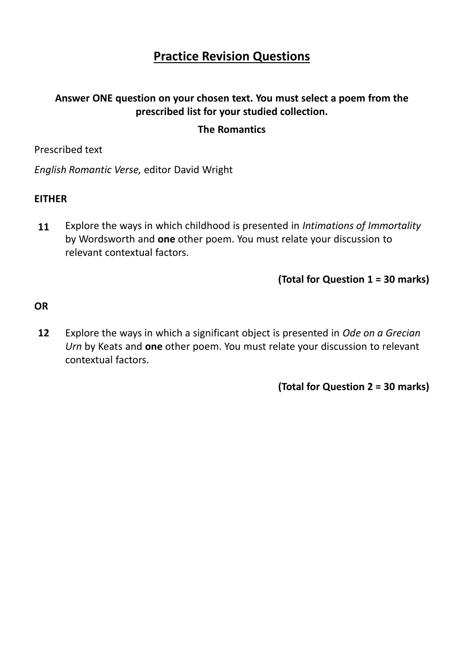## **Practice Revision Questions**

## **Answer ONE question on your chosen text. You must select a poem from the prescribed list for your studied collection.**

#### **The Romantics**

Prescribed text

*English Romantic Verse,* editor David Wright

#### **EITHER**

Explore the ways in which childhood is presented in *Intimations of Immortality*  by Wordsworth and **one** other poem. You must relate your discussion to relevant contextual factors. **11**

**(Total for Question 1 = 30 marks)**

**OR**

Explore the ways in which a significant object is presented in *Ode on a Grecian Urn* by Keats and **one** other poem. You must relate your discussion to relevant contextual factors. **12**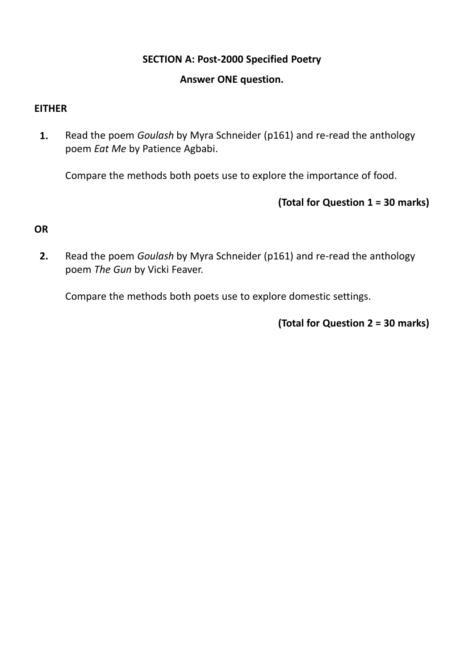## **SECTION A: Post-2000 Specified Poetry**

#### **Answer ONE question.**

## **EITHER**

Read the poem *Goulash* by Myra Schneider (p161) and re-read the anthology poem *Eat Me* by Patience Agbabi. **1.**

Compare the methods both poets use to explore the importance of food.

**(Total for Question 1 = 30 marks)**

## **OR**

Read the poem *Goulash* by Myra Schneider (p161) and re-read the anthology poem *The Gun* by Vicki Feaver. **2.**

Compare the methods both poets use to explore domestic settings.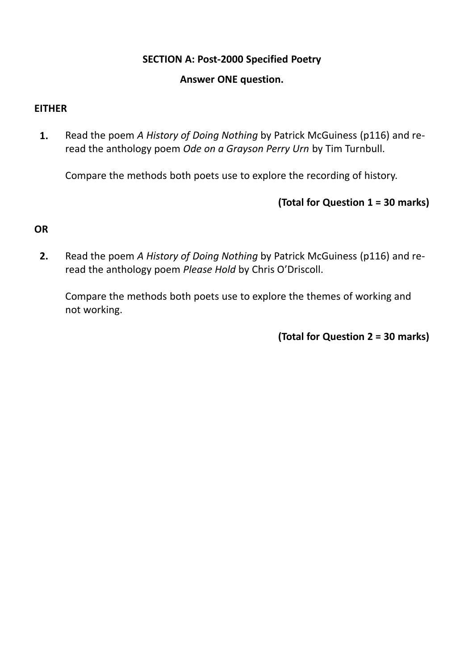## **SECTION A: Post-2000 Specified Poetry**

#### **Answer ONE question.**

## **EITHER**

Read the poem *A History of Doing Nothing* by Patrick McGuiness (p116) and reread the anthology poem *Ode on a Grayson Perry Urn* by Tim Turnbull. **1.**

Compare the methods both poets use to explore the recording of history.

## **(Total for Question 1 = 30 marks)**

## **OR**

Read the poem *A History of Doing Nothing* by Patrick McGuiness (p116) and reread the anthology poem *Please Hold* by Chris O'Driscoll. **2.**

Compare the methods both poets use to explore the themes of working and not working.